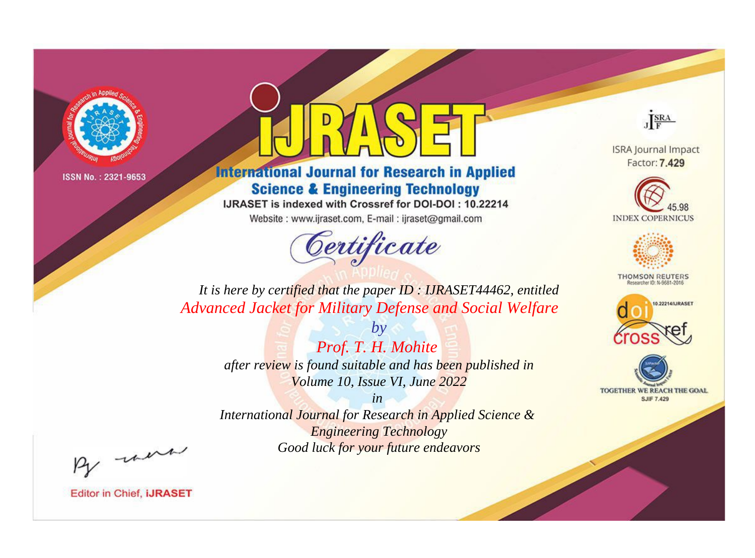

# **International Journal for Research in Applied Science & Engineering Technology**

IJRASET is indexed with Crossref for DOI-DOI: 10.22214

Website: www.ijraset.com, E-mail: ijraset@gmail.com



JERA

**ISRA Journal Impact** Factor: 7.429





**THOMSON REUTERS** 



TOGETHER WE REACH THE GOAL **SJIF 7.429** 

*It is here by certified that the paper ID : IJRASET44462, entitled Advanced Jacket for Military Defense and Social Welfare*

> *Prof. T. H. Mohite after review is found suitable and has been published in Volume 10, Issue VI, June 2022*

*by*

*in* 

*International Journal for Research in Applied Science & Engineering Technology Good luck for your future endeavors*

By morn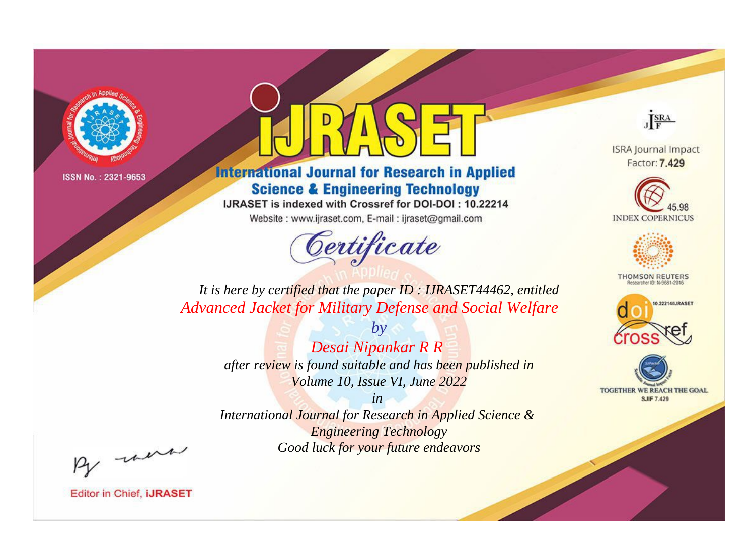

# **International Journal for Research in Applied Science & Engineering Technology**

IJRASET is indexed with Crossref for DOI-DOI: 10.22214

Website: www.ijraset.com, E-mail: ijraset@gmail.com



JERA

**ISRA Journal Impact** Factor: 7.429





**THOMSON REUTERS** 



TOGETHER WE REACH THE GOAL **SJIF 7.429** 

*It is here by certified that the paper ID : IJRASET44462, entitled Advanced Jacket for Military Defense and Social Welfare*

> *by Desai Nipankar R R after review is found suitable and has been published in Volume 10, Issue VI, June 2022*

> > *in*

*International Journal for Research in Applied Science & Engineering Technology Good luck for your future endeavors*

By morn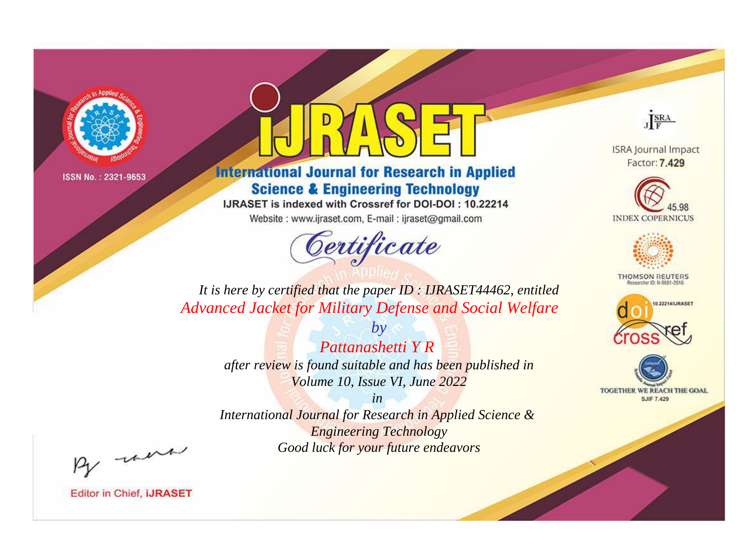

# **International Journal for Research in Applied Science & Engineering Technology**

IJRASET is indexed with Crossref for DOI-DOI: 10.22214

Website: www.ijraset.com, E-mail: ijraset@gmail.com



JERA

**ISRA Journal Impact** Factor: 7.429





**THOMSON REUTERS** 



TOGETHER WE REACH THE GOAL **SJIF 7.429** 

*It is here by certified that the paper ID : IJRASET44462, entitled Advanced Jacket for Military Defense and Social Welfare*

> *by Pattanashetti Y R after review is found suitable and has been published in Volume 10, Issue VI, June 2022*

> > *in*

*International Journal for Research in Applied Science & Engineering Technology Good luck for your future endeavors*

By morn